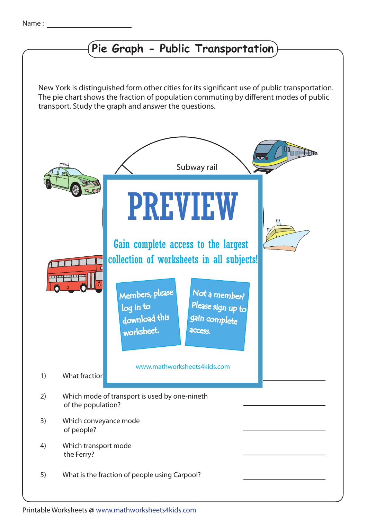## **Pie Graph - Public Transportation**

transport. Study the graph and answer the questions. The pie chart shows the fraction of population commuting by different modes of public New York is distinguished form other cities for its significant use of public transportation.



Printable Worksheets @ www.mathworksheets4kids.com